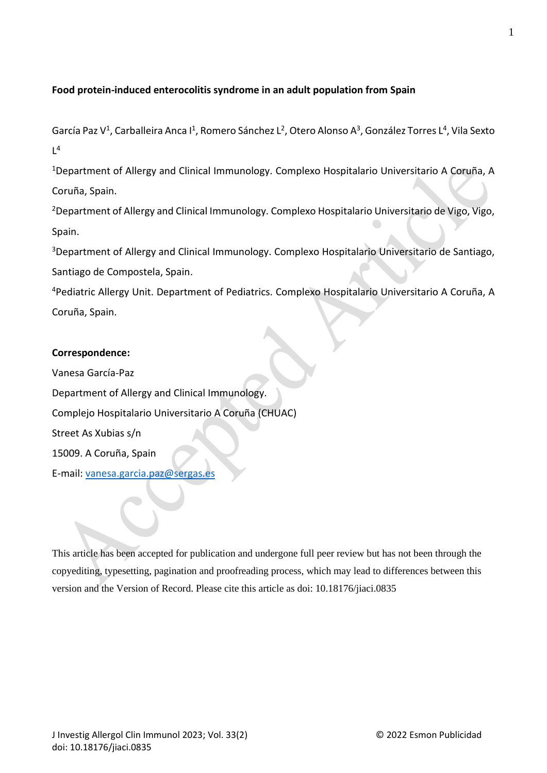## **Food protein-induced enterocolitis syndrome in an adult population from Spain**

García Paz V<sup>1</sup>, Carballeira Anca I<sup>1</sup>, Romero Sánchez L<sup>2</sup>, Otero Alonso A<sup>3</sup>, González Torres L<sup>4</sup>, Vila Sexto  $L^4$ 

<sup>1</sup>Department of Allergy and Clinical Immunology. Complexo Hospitalario Universitario A Coruña, A Coruña, Spain.

<sup>2</sup>Department of Allergy and Clinical Immunology. Complexo Hospitalario Universitario de Vigo, Vigo, Spain.

<sup>3</sup>Department of Allergy and Clinical Immunology. Complexo Hospitalario Universitario de Santiago, Santiago de Compostela, Spain.

<sup>4</sup>Pediatric Allergy Unit. Department of Pediatrics. Complexo Hospitalario Universitario A Coruña, A Coruña, Spain.

## **Correspondence:**

Vanesa García-Paz Department of Allergy and Clinical Immunology. Complejo Hospitalario Universitario A Coruña (CHUAC) Street As Xubias s/n 15009. A Coruña, Spain E-mail: [vanesa.garcia.paz@sergas.es](mailto:vanesa.garcia.paz@sergas.es)

This article has been accepted for publication and undergone full peer review but has not been through the copyediting, typesetting, pagination and proofreading process, which may lead to differences between this version and the Version of Record. Please cite this article as doi: 10.18176/jiaci.0835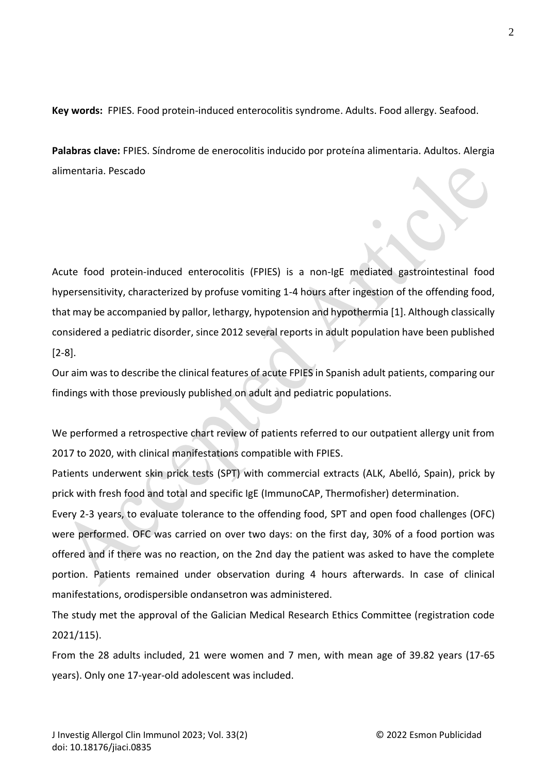**Key words:** FPIES. Food protein-induced enterocolitis syndrome. Adults. Food allergy. Seafood.

**Palabras clave:** FPIES. Síndrome de enerocolitis inducido por proteína alimentaria. Adultos. Alergia alimentaria. Pescado

Acute food protein-induced enterocolitis (FPIES) is a non-IgE mediated gastrointestinal food hypersensitivity, characterized by profuse vomiting 1-4 hours after ingestion of the offending food, that may be accompanied by pallor, lethargy, hypotension and hypothermia [1]. Although classically considered a pediatric disorder, since 2012 several reports in adult population have been published [2-8].

Our aim was to describe the clinical features of acute FPIES in Spanish adult patients, comparing our findings with those previously published on adult and pediatric populations.

We performed a retrospective chart review of patients referred to our outpatient allergy unit from 2017 to 2020, with clinical manifestations compatible with FPIES.

Patients underwent skin prick tests (SPT) with commercial extracts (ALK, Abelló, Spain), prick by prick with fresh food and total and specific IgE (ImmunoCAP, Thermofisher) determination.

Every 2-3 years, to evaluate tolerance to the offending food, SPT and open food challenges (OFC) were performed. OFC was carried on over two days: on the first day, 30% of a food portion was offered and if there was no reaction, on the 2nd day the patient was asked to have the complete portion. Patients remained under observation during 4 hours afterwards. In case of clinical manifestations, orodispersible ondansetron was administered.

The study met the approval of the Galician Medical Research Ethics Committee (registration code 2021/115).

From the 28 adults included, 21 were women and 7 men, with mean age of 39.82 years (17-65 years). Only one 17-year-old adolescent was included.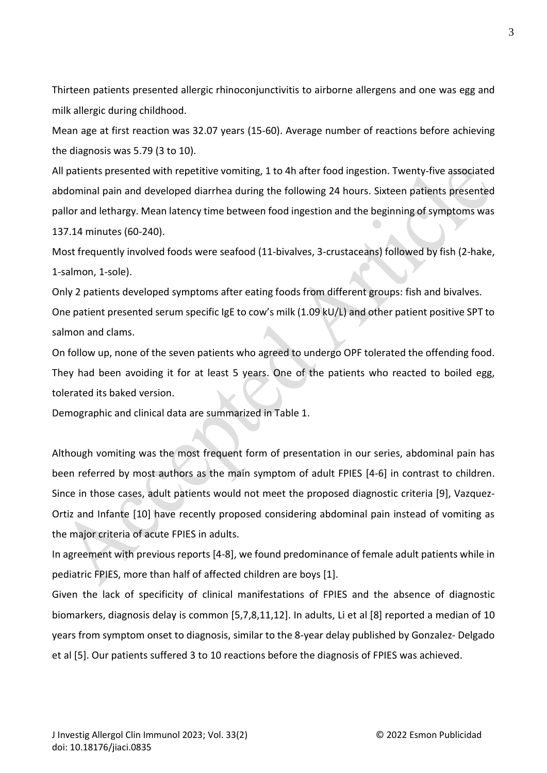Thirteen patients presented allergic rhinoconjunctivitis to airborne allergens and one was egg and milk allergic during childhood.

Mean age at first reaction was 32.07 years (15-60). Average number of reactions before achieving the diagnosis was 5.79 (3 to 10).

All patients presented with repetitive vomiting, 1 to 4h after food ingestion. Twenty-five associated abdominal pain and developed diarrhea during the following 24 hours. Sixteen patients presented pallor and lethargy. Mean latency time between food ingestion and the beginning of symptoms was 137.14 minutes (60-240).

Most frequently involved foods were seafood (11-bivalves, 3-crustaceans) followed by fish (2-hake, 1-salmon, 1-sole).

Only 2 patients developed symptoms after eating foods from different groups: fish and bivalves.

One patient presented serum specific IgE to cow's milk (1.09 kU/L) and other patient positive SPT to salmon and clams.

On follow up, none of the seven patients who agreed to undergo OPF tolerated the offending food. They had been avoiding it for at least 5 years. One of the patients who reacted to boiled egg, tolerated its baked version.

Demographic and clinical data are summarized in Table 1.

Although vomiting was the most frequent form of presentation in our series, abdominal pain has been referred by most authors as the main symptom of adult FPIES [4-6] in contrast to children. Since in those cases, adult patients would not meet the proposed diagnostic criteria [9], Vazquez-Ortiz and Infante [10] have recently proposed considering abdominal pain instead of vomiting as the major criteria of acute FPIES in adults.

In agreement with previous reports [4-8], we found predominance of female adult patients while in pediatric FPIES, more than half of affected children are boys [1].

Given the lack of specificity of clinical manifestations of FPIES and the absence of diagnostic biomarkers, diagnosis delay is common [5,7,8,11,12]. In adults, Li et al [8] reported a median of 10 years from symptom onset to diagnosis, similar to the 8-year delay published by Gonzalez- Delgado et al [5]. Our patients suffered 3 to 10 reactions before the diagnosis of FPIES was achieved.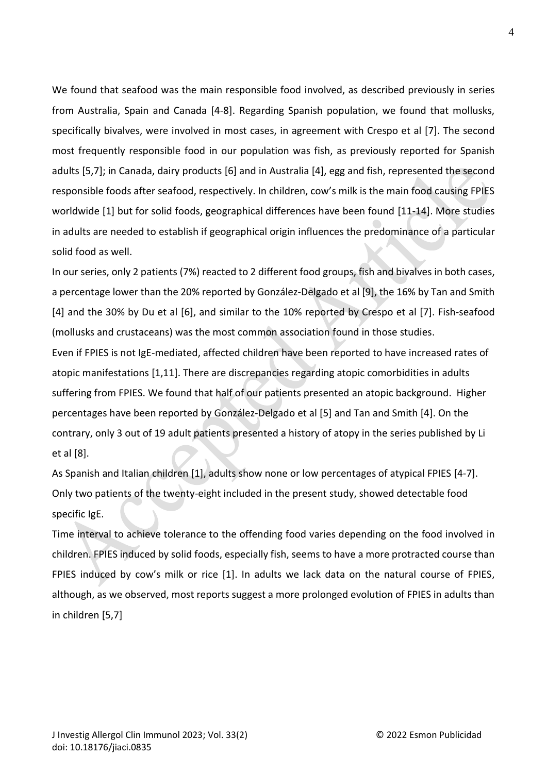We found that seafood was the main responsible food involved, as described previously in series from Australia, Spain and Canada [4-8]. Regarding Spanish population, we found that mollusks, specifically bivalves, were involved in most cases, in agreement with Crespo et al [7]. The second most frequently responsible food in our population was fish, as previously reported for Spanish adults [5,7]; in Canada, dairy products [6] and in Australia [4], egg and fish, represented the second responsible foods after seafood, respectively. In children, cow's milk is the main food causing FPIES worldwide [1] but for solid foods, geographical differences have been found [11-14]. More studies in adults are needed to establish if geographical origin influences the predominance of a particular solid food as well.

In our series, only 2 patients (7%) reacted to 2 different food groups, fish and bivalves in both cases, a percentage lower than the 20% reported by González-Delgado et al [9], the 16% by Tan and Smith [4] and the 30% by Du et al [6], and similar to the 10% reported by Crespo et al [7]. Fish-seafood (mollusks and crustaceans) was the most common association found in those studies.

Even if FPIES is not IgE-mediated, affected children have been reported to have increased rates of atopic manifestations [1,11]. There are discrepancies regarding atopic comorbidities in adults suffering from FPIES. We found that half of our patients presented an atopic background. Higher percentages have been reported by González-Delgado et al [5] and Tan and Smith [4]. On the contrary, only 3 out of 19 adult patients presented a history of atopy in the series published by Li et al [8].

As Spanish and Italian children [1], adults show none or low percentages of atypical FPIES [4-7]. Only two patients of the twenty-eight included in the present study, showed detectable food specific IgE.

Time interval to achieve tolerance to the offending food varies depending on the food involved in children. FPIES induced by solid foods, especially fish, seems to have a more protracted course than FPIES induced by cow's milk or rice [1]. In adults we lack data on the natural course of FPIES, although, as we observed, most reports suggest a more prolonged evolution of FPIES in adults than in children [5,7]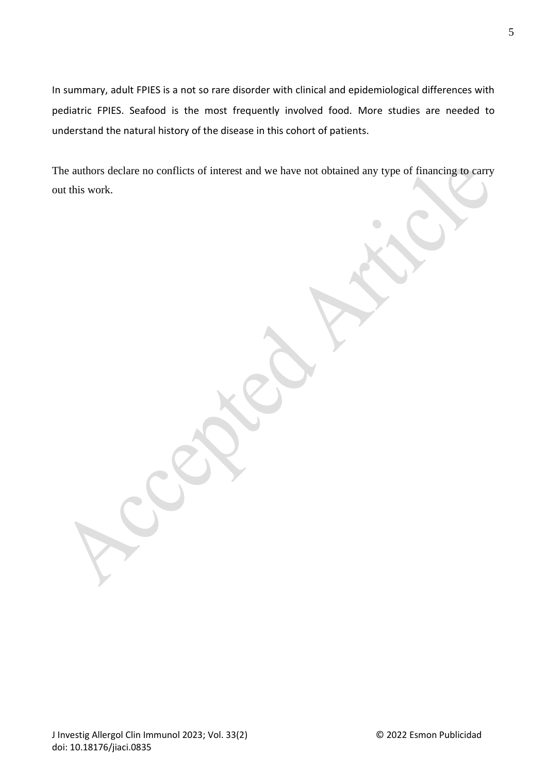In summary, adult FPIES is a not so rare disorder with clinical and epidemiological differences with pediatric FPIES. Seafood is the most frequently involved food. More studies are needed to understand the natural history of the disease in this cohort of patients.

The authors declare no conflicts of interest and we have not obtained any type of financing to carry out this work.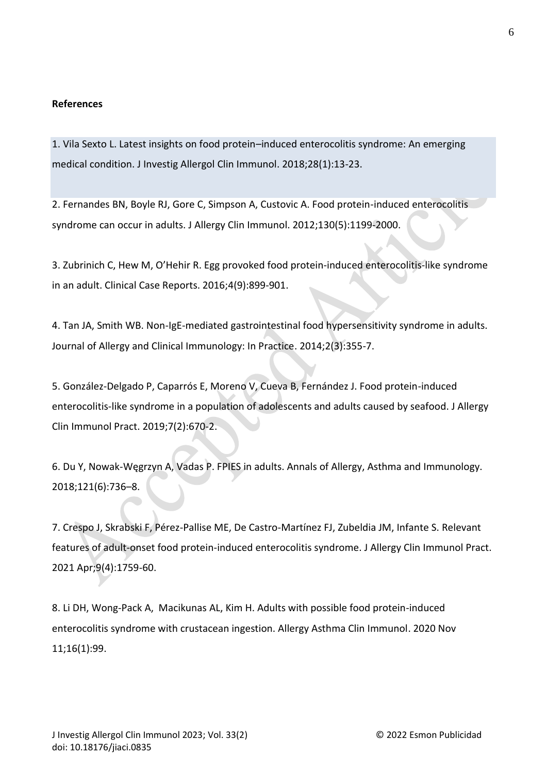## **References**

1. Vila Sexto L. Latest insights on food protein–induced enterocolitis syndrome: An emerging medical condition. J Investig Allergol Clin Immunol. 2018;28(1):13-23.

2. Fernandes BN, Boyle RJ, Gore C, Simpson A, Custovic A. Food protein-induced enterocolitis syndrome can occur in adults. J Allergy Clin Immunol. 2012;130(5):1199-2000.

3. Zubrinich C, Hew M, O'Hehir R. Egg provoked food protein‐induced enterocolitis‐like syndrome in an adult. Clinical Case Reports. 2016;4(9):899-901.

4. Tan JA, Smith WB. Non-IgE-mediated gastrointestinal food hypersensitivity syndrome in adults. Journal of Allergy and Clinical Immunology: In Practice. 2014;2(3):355-7.

5. González-Delgado P, Caparrós E, Moreno V, Cueva B, Fernández J. Food protein-induced enterocolitis-like syndrome in a population of adolescents and adults caused by seafood. J Allergy Clin Immunol Pract. 2019;7(2):670-2.

6. Du Y, Nowak-Węgrzyn A, Vadas P. FPIES in adults. Annals of Allergy, Asthma and Immunology. 2018;121(6):736–8.

7. Crespo J, Skrabski F, Pérez-Pallise ME, De Castro-Martínez FJ, Zubeldia JM, Infante S. Relevant features of adult-onset food protein-induced enterocolitis syndrome. J Allergy Clin Immunol Pract. 2021 Apr;9(4):1759-60.

8. [Li](https://pubmed.ncbi.nlm.nih.gov/?term=Li+DH&cauthor_id=33292583) DH, [Wong-Pack](https://pubmed.ncbi.nlm.nih.gov/?term=Wong-Pack+A&cauthor_id=33292583) A, [Macikunas](https://pubmed.ncbi.nlm.nih.gov/?term=Macikunas+AL&cauthor_id=33292583) AL, [Kim](https://pubmed.ncbi.nlm.nih.gov/?term=Kim+H&cauthor_id=33292583) H. Adults with possible food protein-induced enterocolitis syndrome with crustacean ingestion. Allergy Asthma Clin Immunol. 2020 Nov 11;16(1):99.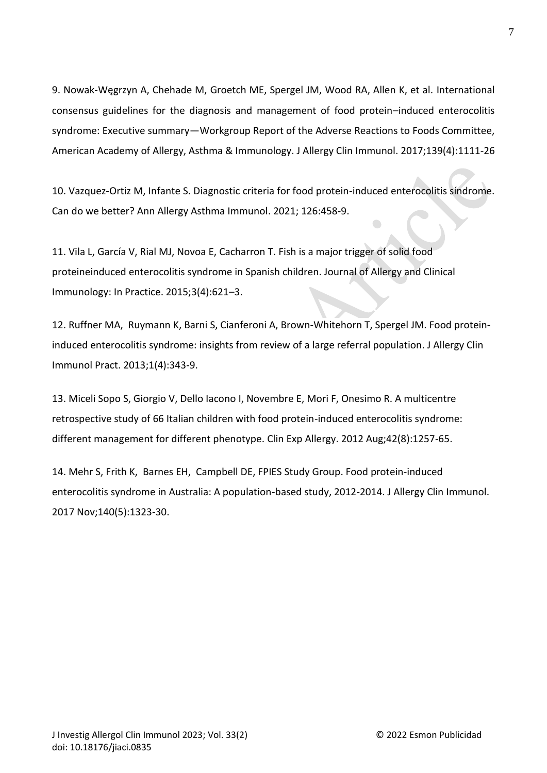9. Nowak-Węgrzyn A, Chehade M, Groetch ME, Spergel JM, Wood RA, Allen K, et al. International consensus guidelines for the diagnosis and management of food protein–induced enterocolitis syndrome: Executive summary—Workgroup Report of the Adverse Reactions to Foods Committee, American Academy of Allergy, Asthma & Immunology. J Allergy Clin Immunol. 2017;139(4):1111-26

10. Vazquez-Ortiz M, Infante S. Diagnostic criteria for food protein-induced enterocolitis síndrome. Can do we better? Ann Allergy Asthma Immunol. 2021; 126:458-9.

11. Vila L, García V, Rial MJ, Novoa E, Cacharron T. Fish is a major trigger of solid food proteineinduced enterocolitis syndrome in Spanish children. Journal of Allergy and Clinical Immunology: In Practice. 2015;3(4):621–3.

12. [Ruffner](https://pubmed.ncbi.nlm.nih.gov/?term=Ruffner+MA&cauthor_id=24565539) MA, [Ruymann](https://pubmed.ncbi.nlm.nih.gov/?term=Ruymann+K&cauthor_id=24565539) K, [Barni](https://pubmed.ncbi.nlm.nih.gov/?term=Barni+S&cauthor_id=24565539) S, [Cianferoni](https://pubmed.ncbi.nlm.nih.gov/?term=Cianferoni+A&cauthor_id=24565539) A, [Brown-Whitehorn](https://pubmed.ncbi.nlm.nih.gov/?term=Brown-Whitehorn+T&cauthor_id=24565539) T, [Spergel](https://pubmed.ncbi.nlm.nih.gov/?term=Spergel+JM&cauthor_id=24565539) JM. Food proteininduced enterocolitis syndrome: insights from review of a large referral population. J Allergy Clin Immunol Pract. 2013;1(4):343-9.

13. [Miceli Sopo](https://pubmed.ncbi.nlm.nih.gov/?term=Sopo+SM&cauthor_id=22805473) S, [Giorgio](https://pubmed.ncbi.nlm.nih.gov/?term=Giorgio+V&cauthor_id=22805473) V, [Dello Iacono](https://pubmed.ncbi.nlm.nih.gov/?term=Dello+Iacono+I&cauthor_id=22805473) I, [Novembre](https://pubmed.ncbi.nlm.nih.gov/?term=Novembre+E&cauthor_id=22805473) E, [Mori](https://pubmed.ncbi.nlm.nih.gov/?term=Mori+F&cauthor_id=22805473) F, [Onesimo](https://pubmed.ncbi.nlm.nih.gov/?term=Onesimo+R&cauthor_id=22805473) R. A multicentre retrospective study of 66 Italian children with food protein-induced enterocolitis syndrome: different management for different phenotype. Clin Exp Allergy. 2012 Aug;42(8):1257-65.

14. [Mehr](https://pubmed.ncbi.nlm.nih.gov/?term=Mehr+S&cauthor_id=28427879) S, [Frith](https://pubmed.ncbi.nlm.nih.gov/?term=Frith+K&cauthor_id=28427879) K, [Barnes](https://pubmed.ncbi.nlm.nih.gov/?term=Barnes+EH&cauthor_id=28427879) EH, [Campbell](https://pubmed.ncbi.nlm.nih.gov/?term=Campbell+DE&cauthor_id=28427879) DE, [FPIES Study Group.](https://pubmed.ncbi.nlm.nih.gov/?term=FPIES+Study+Group%5BCorporate+Author%5D) Food protein-induced enterocolitis syndrome in Australia: A population-based study, 2012-2014. J Allergy Clin Immunol. 2017 Nov;140(5):1323-30.